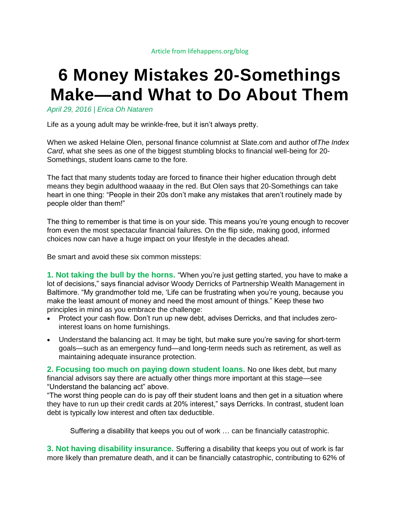## **6 Money Mistakes 20-Somethings Make—and What to Do About Them**

*[April 29, 2016](http://www.lifehappens.org/blog/6-money-mistakes-20-somethings-make-and-what-to-do-about-them/) | [Erica Oh Nataren](http://www.lifehappens.org/blog/author/erica-oh-nataren/)*

Life as a young adult may be wrinkle-free, but it isn't always pretty.

When we asked Helaine Olen, [personal finance columnist](http://helaineolen.com/) at Slate.com and author of*The Index Card*, what she sees as one of the biggest stumbling blocks to financial well-being for 20- Somethings, student loans came to the fore.

The fact that many students today are forced to finance their higher education through debt means they begin adulthood waaaay in the red. But Olen says that 20-Somethings can take heart in one thing: "People in their 20s don't make any mistakes that aren't routinely made by people older than them!"

The thing to remember is that time is on your side. This means you're young enough to recover from even the most spectacular financial failures. On the flip side, making good, informed choices now can have a huge impact on your lifestyle in the decades ahead.

Be smart and avoid these six common missteps:

**1. Not taking the bull by the horns.** "When you're just getting started, you have to make a lot of decisions," says financial advisor [Woody Derricks](http://partnershipwealthmanagement.com/bio-woody-derricks.html) of Partnership Wealth Management in Baltimore. "My grandmother told me, 'Life can be frustrating when you're young, because you make the least amount of money and need the most amount of things." Keep these two principles in mind as you embrace the challenge:

- Protect your cash flow. Don't run up new debt, advises Derricks, and that includes zerointerest loans on home furnishings.
- Understand the balancing act. It may be tight, but make sure you're saving for short-term goals—such as an emergency fund—and long-term needs such as retirement, as well as maintaining adequate insurance protection.

**2. Focusing too much on paying down student loans.** No one likes debt, but many financial advisors say there are actually other things more important at this stage—see "Understand the balancing act" above.

"The worst thing people can do is pay off their student loans and then get in a situation where they have to run up their credit cards at 20% interest," says Derricks. In contrast, student loan debt is typically low interest and often tax deductible.

Suffering a disability that keeps you out of work … can be financially catastrophic.

**3. Not having disability insurance.** Suffering a disability that keeps you out of work is far more likely than premature death, and it can be financially catastrophic, contributing to 62% of